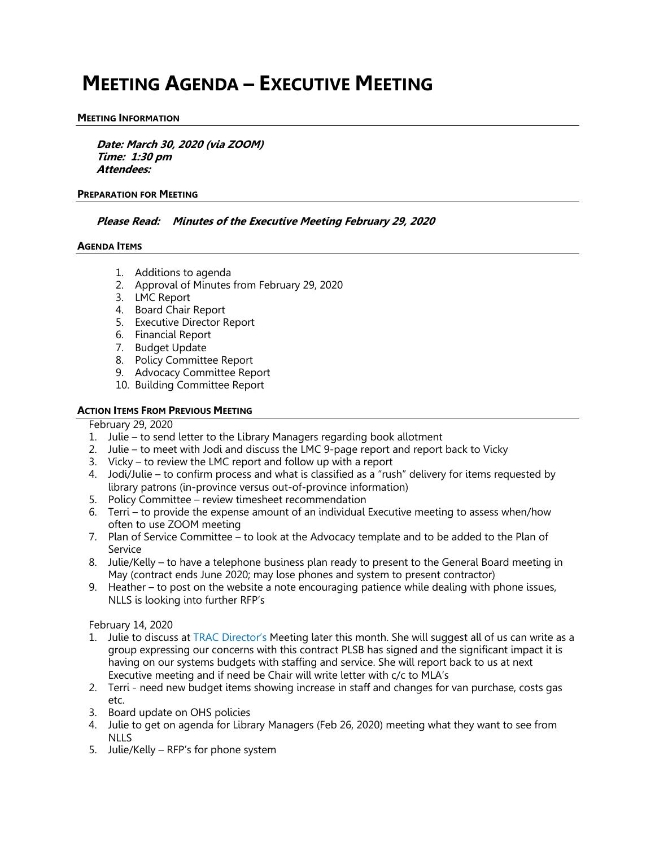# **MEETING AGENDA – EXECUTIVE MEETING**

#### **MEETING INFORMATION**

**Date: March 30, 2020 (via ZOOM) Time: 1:30 pm Attendees:**

#### **PREPARATION FOR MEETING**

# **Please Read: Minutes of the Executive Meeting February 29, 2020**

#### **AGENDA ITEMS**

- 1. Additions to agenda
- 2. Approval of Minutes from February 29, 2020
- 3. LMC Report
- 4. Board Chair Report
- 5. Executive Director Report
- 6. Financial Report
- 7. Budget Update
- 8. Policy Committee Report
- 9. Advocacy Committee Report
- 10. Building Committee Report

#### **ACTION ITEMS FROM PREVIOUS MEETING**

#### February 29, 2020

- 1. Julie to send letter to the Library Managers regarding book allotment
- 2. Julie to meet with Jodi and discuss the LMC 9-page report and report back to Vicky
- 3. Vicky to review the LMC report and follow up with a report
- 4. Jodi/Julie to confirm process and what is classified as a "rush" delivery for items requested by library patrons (in-province versus out-of-province information)
- 5. Policy Committee review timesheet recommendation
- 6. Terri to provide the expense amount of an individual Executive meeting to assess when/how often to use ZOOM meeting
- 7. Plan of Service Committee to look at the Advocacy template and to be added to the Plan of Service
- 8. Julie/Kelly to have a telephone business plan ready to present to the General Board meeting in May (contract ends June 2020; may lose phones and system to present contractor)
- 9. Heather to post on the website a note encouraging patience while dealing with phone issues, NLLS is looking into further RFP's

February 14, 2020

- 1. Julie to discuss at TRAC Director's Meeting later this month. She will suggest all of us can write as a group expressing our concerns with this contract PLSB has signed and the significant impact it is having on our systems budgets with staffing and service. She will report back to us at next Executive meeting and if need be Chair will write letter with c/c to MLA's
- 2. Terri need new budget items showing increase in staff and changes for van purchase, costs gas etc.
- 3. Board update on OHS policies
- 4. Julie to get on agenda for Library Managers (Feb 26, 2020) meeting what they want to see from NLLS
- 5. Julie/Kelly RFP's for phone system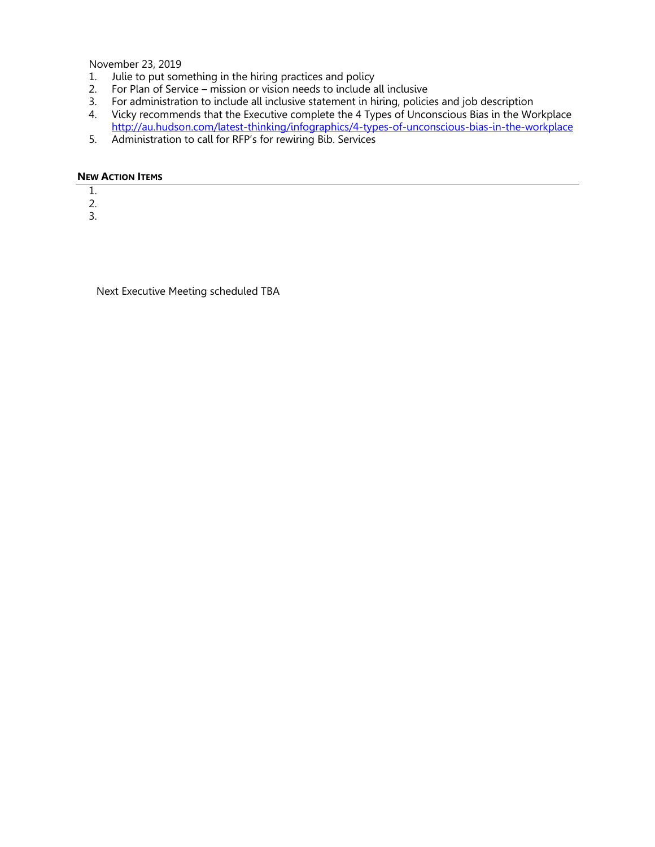November 23, 2019

- 1. Julie to put something in the hiring practices and policy
- 2. For Plan of Service mission or vision needs to include all inclusive
- 3. For administration to include all inclusive statement in hiring, policies and job description
- 4. Vicky recommends that the Executive complete the 4 Types of Unconscious Bias in the Workplace http://au.hudson.com/latest-thinking/infographics/4-types-of-unconscious-bias-in-the-workplace
- 5. Administration to call for RFP's for rewiring Bib. Services

# **NEW ACTION ITEMS**

- 1.
- 2.

3.

Next Executive Meeting scheduled TBA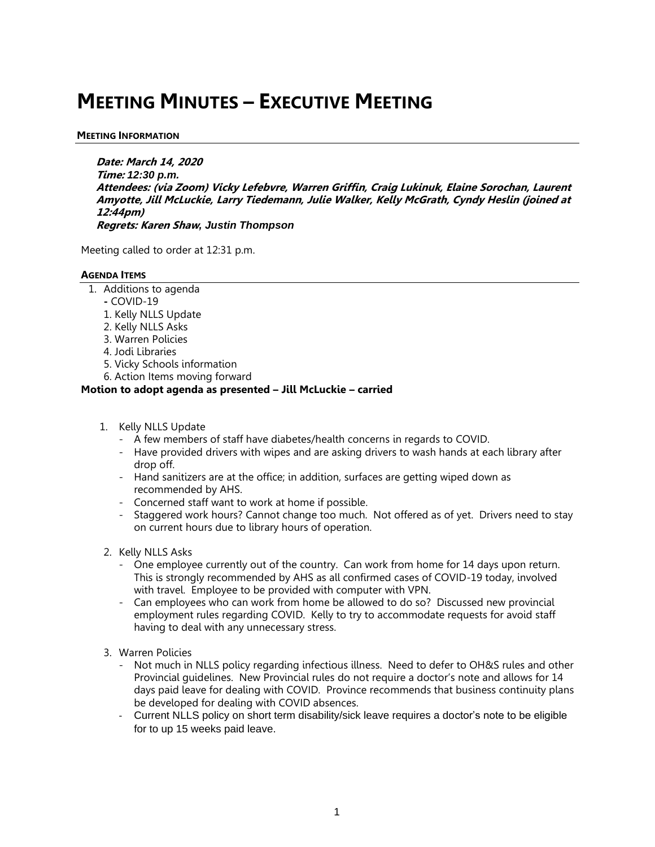# **MEETING MINUTES – EXECUTIVE MEETING**

# **MEETING INFORMATION**

**Date: March 14, 2020 Time:** *12:30 p.m.* **Attendees: (via Zoom) Vicky Lefebvre, Warren Griffin, Craig Lukinuk, Elaine Sorochan, Laurent Amyotte, Jill McLuckie, Larry Tiedemann, Julie Walker, Kelly McGrath, Cyndy Heslin (joined at 12:44pm) Regrets: Karen Shaw***, Justin Thompson*

Meeting called to order at 12:31 p.m.

# **AGENDA ITEMS**

- 1. Additions to agenda
	- **-** COVID-19
	- 1. Kelly NLLS Update
	- 2. Kelly NLLS Asks
	- 3. Warren Policies
	- 4. Jodi Libraries
	- 5. Vicky Schools information
	- 6. Action Items moving forward

# **Motion to adopt agenda as presented – Jill McLuckie – carried**

- 1. Kelly NLLS Update
	- A few members of staff have diabetes/health concerns in regards to COVID.
	- Have provided drivers with wipes and are asking drivers to wash hands at each library after drop off.
	- Hand sanitizers are at the office; in addition, surfaces are getting wiped down as recommended by AHS.
	- Concerned staff want to work at home if possible.
	- Staggered work hours? Cannot change too much. Not offered as of yet. Drivers need to stay on current hours due to library hours of operation.
- 2. Kelly NLLS Asks
	- One employee currently out of the country. Can work from home for 14 days upon return. This is strongly recommended by AHS as all confirmed cases of COVID-19 today, involved with travel. Employee to be provided with computer with VPN.
	- Can employees who can work from home be allowed to do so? Discussed new provincial employment rules regarding COVID. Kelly to try to accommodate requests for avoid staff having to deal with any unnecessary stress.
- 3. Warren Policies
	- Not much in NLLS policy regarding infectious illness. Need to defer to OH&S rules and other Provincial guidelines. New Provincial rules do not require a doctor's note and allows for 14 days paid leave for dealing with COVID. Province recommends that business continuity plans be developed for dealing with COVID absences.
	- Current NLLS policy on short term disability/sick leave requires a doctor's note to be eligible for to up 15 weeks paid leave.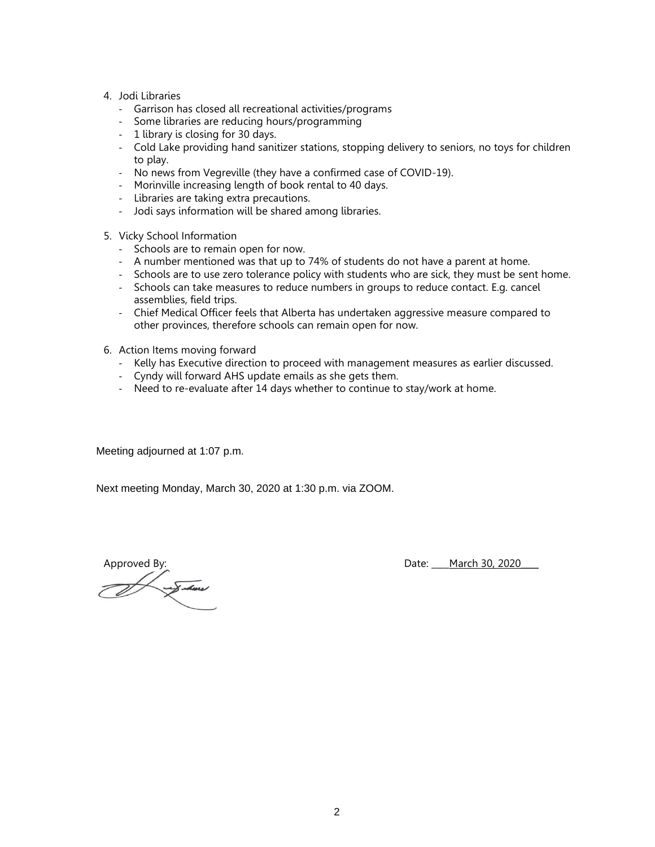- 4. Jodi Libraries
	- Garrison has closed all recreational activities/programs
	- Some libraries are reducing hours/programming
	- 1 library is closing for 30 days.
	- Cold Lake providing hand sanitizer stations, stopping delivery to seniors, no toys for children to play.
	- No news from Vegreville (they have a confirmed case of COVID-19).
	- Morinville increasing length of book rental to 40 days.
	- Libraries are taking extra precautions.
	- Jodi says information will be shared among libraries.
- 5. Vicky School Information
	- Schools are to remain open for now.
	- A number mentioned was that up to 74% of students do not have a parent at home.
	- Schools are to use zero tolerance policy with students who are sick, they must be sent home.
	- Schools can take measures to reduce numbers in groups to reduce contact. E.g. cancel assemblies, field trips.
	- Chief Medical Officer feels that Alberta has undertaken aggressive measure compared to other provinces, therefore schools can remain open for now.
- 6. Action Items moving forward
	- Kelly has Executive direction to proceed with management measures as earlier discussed.
	- Cyndy will forward AHS update emails as she gets them.
	- Need to re-evaluate after 14 days whether to continue to stay/work at home.

Meeting adjourned at 1:07 p.m.

Next meeting Monday, March 30, 2020 at 1:30 p.m. via ZOOM.

Approved By:<br>
Date: <u>March 30, 2020</u>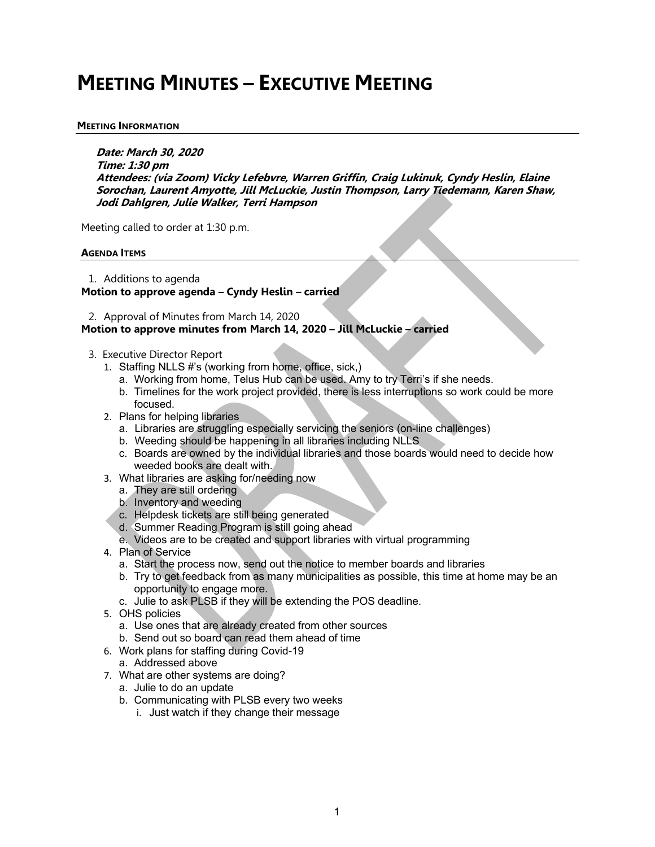# **MEETING MINUTES – EXECUTIVE MEETING**

# **MEETING INFORMATION**

**Date: March 30, 2020 Time: 1:30 pm Attendees: (via Zoom) Vicky Lefebvre, Warren Griffin, Craig Lukinuk, Cyndy Heslin, Elaine Sorochan, Laurent Amyotte, Jill McLuckie, Justin Thompson, Larry Tiedemann, Karen Shaw, Jodi Dahlgren, Julie Walker, Terri Hampson**

Meeting called to order at 1:30 p.m.

# **AGENDA ITEMS**

1. Additions to agenda **Motion to approve agenda – Cyndy Heslin – carried** 

2. Approval of Minutes from March 14, 2020

# **Motion to approve minutes from March 14, 2020 – Jill McLuckie – carried**

- 3. Executive Director Report
	- 1. Staffing NLLS #'s (working from home, office, sick,)
		- a. Working from home, Telus Hub can be used. Amy to try Terri's if she needs.
		- b. Timelines for the work project provided, there is less interruptions so work could be more focused.
	- 2. Plans for helping libraries
		- a. Libraries are struggling especially servicing the seniors (on-line challenges)
		- b. Weeding should be happening in all libraries including NLLS
		- c. Boards are owned by the individual libraries and those boards would need to decide how weeded books are dealt with.
	- 3. What libraries are asking for/needing now
		- a. They are still ordering
		- b. Inventory and weeding
		- c. Helpdesk tickets are still being generated
		- d. Summer Reading Program is still going ahead
		- e. Videos are to be created and support libraries with virtual programming
	- 4. Plan of Service
		- a. Start the process now, send out the notice to member boards and libraries
		- b. Try to get feedback from as many municipalities as possible, this time at home may be an opportunity to engage more.
		- c. Julie to ask PLSB if they will be extending the POS deadline.
	- 5. OHS policies
		- a. Use ones that are already created from other sources
		- b. Send out so board can read them ahead of time
	- 6. Work plans for staffing during Covid-19
		- a. Addressed above
	- 7. What are other systems are doing?
		- a. Julie to do an update
		- b. Communicating with PLSB every two weeks
			- i. Just watch if they change their message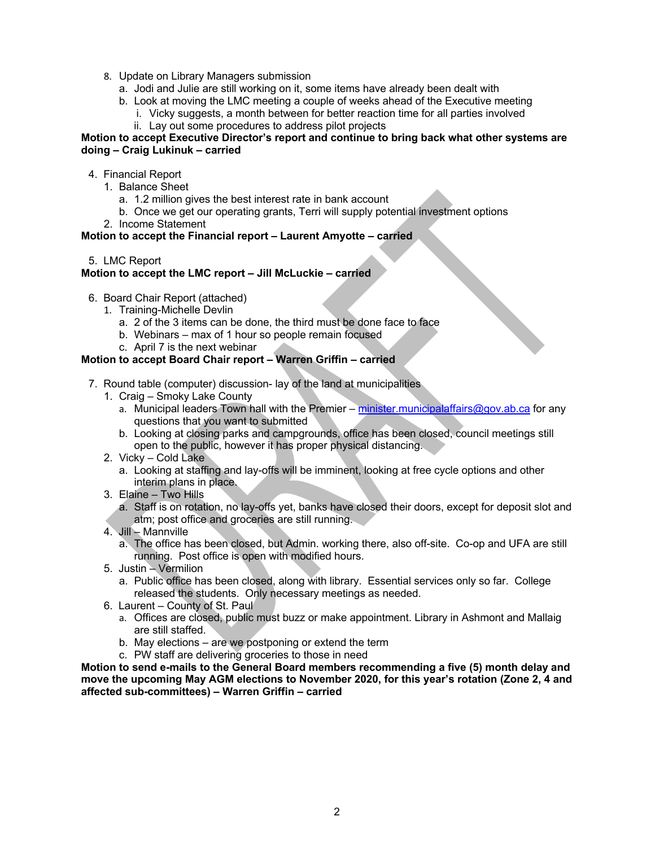- 8. Update on Library Managers submission
	- a. Jodi and Julie are still working on it, some items have already been dealt with
	- b. Look at moving the LMC meeting a couple of weeks ahead of the Executive meeting
		- i. Vicky suggests, a month between for better reaction time for all parties involved ii. Lay out some procedures to address pilot projects

#### **Motion to accept Executive Director's report and continue to bring back what other systems are doing – Craig Lukinuk – carried**

- 4. Financial Report
	- 1. Balance Sheet
		- a. 1.2 million gives the best interest rate in bank account
		- b. Once we get our operating grants, Terri will supply potential investment options
	- 2. Income Statement

# **Motion to accept the Financial report – Laurent Amyotte – carried**

5. LMC Report

# **Motion to accept the LMC report – Jill McLuckie – carried**

- 6. Board Chair Report (attached)
	- 1. Training-Michelle Devlin
		- a. 2 of the 3 items can be done, the third must be done face to face
		- b. Webinars max of 1 hour so people remain focused
		- c. April 7 is the next webinar

# **Motion to accept Board Chair report – Warren Griffin – carried**

- 7. Round table (computer) discussion- lay of the land at municipalities
	- 1. Craig Smoky Lake County
		- a. Municipal leaders Town hall with the Premier minister.municipalaffairs@gov.ab.ca for any questions that you want to submitted
		- b. Looking at closing parks and campgrounds, office has been closed, council meetings still open to the public, however it has proper physical distancing.
	- 2. Vicky Cold Lake
		- a. Looking at staffing and lay-offs will be imminent, looking at free cycle options and other interim plans in place.
	- 3. Elaine Two Hills
		- a. Staff is on rotation, no lay-offs yet, banks have closed their doors, except for deposit slot and atm; post office and groceries are still running.
	- 4. Jill Mannville
		- a. The office has been closed, but Admin. working there, also off-site. Co-op and UFA are still running. Post office is open with modified hours.
	- 5. Justin Vermilion
		- a. Public office has been closed, along with library. Essential services only so far. College released the students. Only necessary meetings as needed.
	- 6. Laurent County of St. Paul
		- a. Offices are closed, public must buzz or make appointment. Library in Ashmont and Mallaig are still staffed.
		- b. May elections are we postponing or extend the term
		- c. PW staff are delivering groceries to those in need

**Motion to send e-mails to the General Board members recommending a five (5) month delay and move the upcoming May AGM elections to November 2020, for this year's rotation (Zone 2, 4 and affected sub-committees) – Warren Griffin – carried**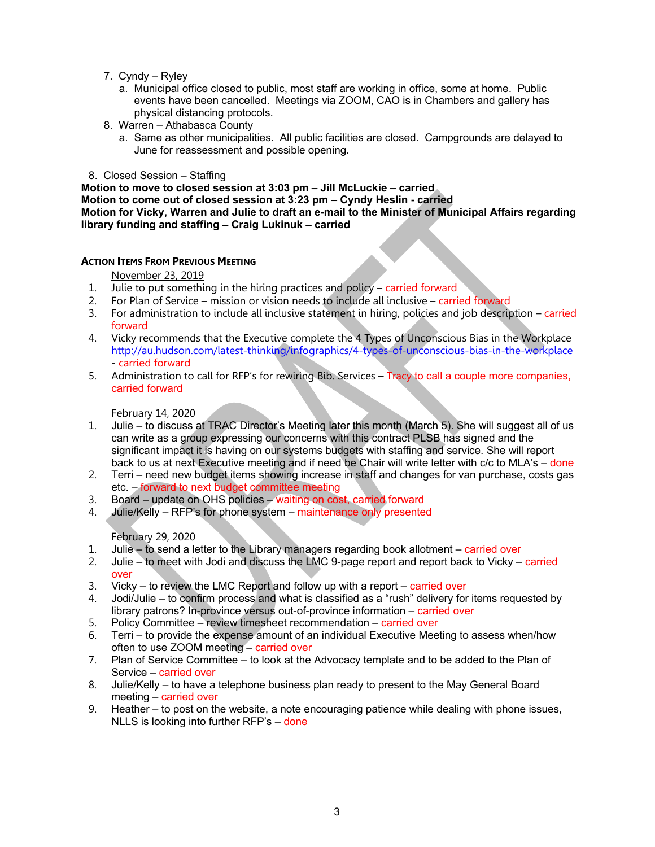- 7. Cyndy Ryley
	- a. Municipal office closed to public, most staff are working in office, some at home. Public events have been cancelled. Meetings via ZOOM, CAO is in Chambers and gallery has physical distancing protocols.
- 8. Warren Athabasca County
	- a. Same as other municipalities. All public facilities are closed. Campgrounds are delayed to June for reassessment and possible opening.
- 8. Closed Session Staffing

**Motion to move to closed session at 3:03 pm – Jill McLuckie – carried Motion to come out of closed session at 3:23 pm – Cyndy Heslin - carried Motion for Vicky, Warren and Julie to draft an e-mail to the Minister of Municipal Affairs regarding library funding and staffing – Craig Lukinuk – carried**

# **ACTION ITEMS FROM PREVIOUS MEETING**

#### November 23, 2019

- 1. Julie to put something in the hiring practices and policy carried forward
- 2. For Plan of Service mission or vision needs to include all inclusive carried forward
- 3. For administration to include all inclusive statement in hiring, policies and job description carried forward
- 4. Vicky recommends that the Executive complete the 4 Types of Unconscious Bias in the Workplace http://au.hudson.com/latest-thinking/infographics/4-types-of-unconscious-bias-in-the-workplace - carried forward
- 5. Administration to call for RFP's for rewiring Bib. Services Tracy to call a couple more companies, carried forward

# February 14, 2020

- 1. Julie to discuss at TRAC Director's Meeting later this month (March 5). She will suggest all of us can write as a group expressing our concerns with this contract PLSB has signed and the significant impact it is having on our systems budgets with staffing and service. She will report back to us at next Executive meeting and if need be Chair will write letter with c/c to MLA's – done
- 2. Terri need new budget items showing increase in staff and changes for van purchase, costs gas etc. – forward to next budget committee meeting
- 3. Board update on OHS policies waiting on cost, carried forward
- 4. Julie/Kelly RFP's for phone system maintenance only presented

#### February 29, 2020

- 1. Julie to send a letter to the Library managers regarding book allotment carried over
- 2. Julie to meet with Jodi and discuss the LMC 9-page report and report back to Vicky carried over
- 3. Vicky to review the LMC Report and follow up with a report carried over
- 4. Jodi/Julie to confirm process and what is classified as a "rush" delivery for items requested by library patrons? In-province versus out-of-province information – carried over
- 5. Policy Committee review timesheet recommendation carried over
- 6. Terri to provide the expense amount of an individual Executive Meeting to assess when/how often to use ZOOM meeting – carried over
- 7. Plan of Service Committee to look at the Advocacy template and to be added to the Plan of Service – carried over
- 8. Julie/Kelly to have a telephone business plan ready to present to the May General Board meeting – carried over
- 9. Heather to post on the website, a note encouraging patience while dealing with phone issues, NLLS is looking into further RFP's – done